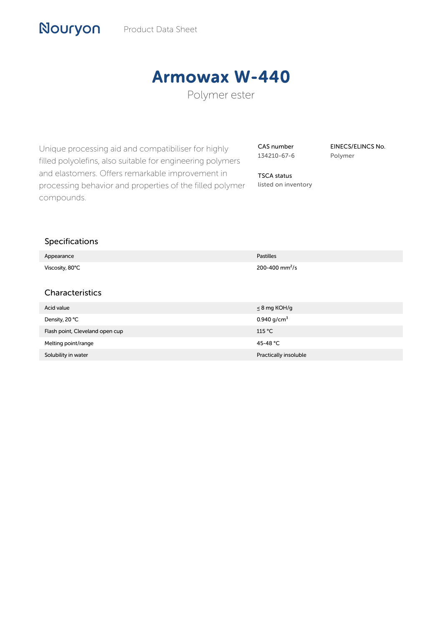# Armowax W-440

Polymer ester

Unique processing aid and compatibiliser for highly filled polyolefins, also suitable for engineering polymers and elastomers. Offers remarkable improvement in processing behavior and properties of the filled polymer compounds.

CAS number 134210-67-6

TSCA status listed on inventory EINECS/ELINCS No. Polymer

#### Specifications

Nouryon

| Appearance                      | <b>Pastilles</b>           |
|---------------------------------|----------------------------|
| Viscosity, 80°C                 | 200-400 mm <sup>2</sup> /s |
|                                 |                            |
| Characteristics                 |                            |
| Acid value                      | $\leq$ 8 mg KOH/g          |
| Density, 20 °C                  | 0.940 $g/cm^{3}$           |
| Flash point, Cleveland open cup | 115 °C                     |
| Melting point/range             | 45-48 °C                   |
| Solubility in water             | Practically insoluble      |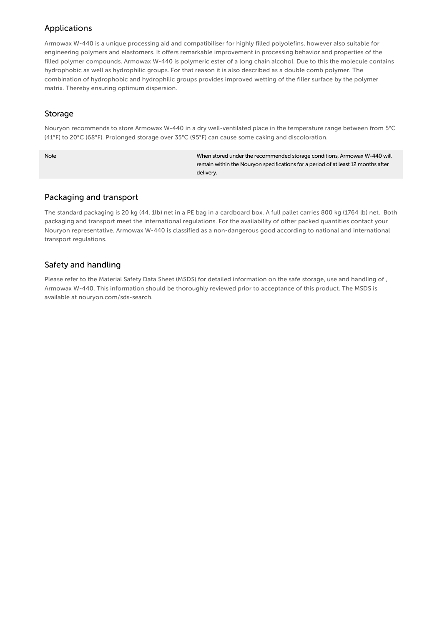## Applications

Armowax W-440 is a unique processing aid and compatibiliser for highly filled polyolefins, however also suitable for engineering polymers and elastomers. It offers remarkable improvement in processing behavior and properties of the filled polymer compounds. Armowax W-440 is polymeric ester of a long chain alcohol. Due to this the molecule contains hydrophobic as well as hydrophilic groups. For that reason it is also described as a double comb polymer. The combination of hydrophobic and hydrophilic groups provides improved wetting of the filler surface by the polymer matrix. Thereby ensuring optimum dispersion.

#### Storage

Nouryon recommends to store Armowax W-440 in a dry well-ventilated place in the temperature range between from 5°C (41°F) to 20°C (68°F). Prolonged storage over 35°C (95°F) can cause some caking and discoloration.

Note When stored under the recommended storage conditions, Armowax W-440 will remain within the Nouryon specifications for a period of at least 12 months after delivery.

## Packaging and transport

The standard packaging is 20 kg (44. 1lb) net in a PE bag in a cardboard box. A full pallet carries 800 kg (1764 lb) net. Both packaging and transport meet the international regulations. For the availability of other packed quantities contact your Nouryon representative. Armowax W-440 is classified as a non-dangerous good according to national and international transport regulations.

# Safety and handling

Please refer to the Material Safety Data Sheet (MSDS) for detailed information on the safe storage, use and handling of , Armowax W-440. This information should be thoroughly reviewed prior to acceptance of this product. The MSDS is available at nouryon.com/sds-search.